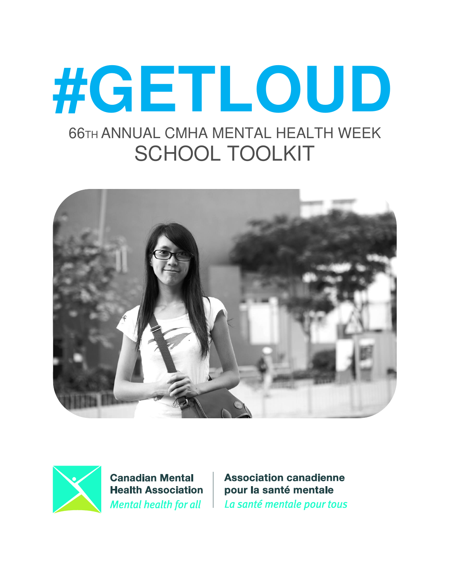# #GETLOUD **66TH ANNUAL CMHA MENTAL HEALTH WEEK SCHOOL TOOLKIT**





**Canadian Mental Health Association Mental health for all** 

**Association canadienne** pour la santé mentale La santé mentale pour tous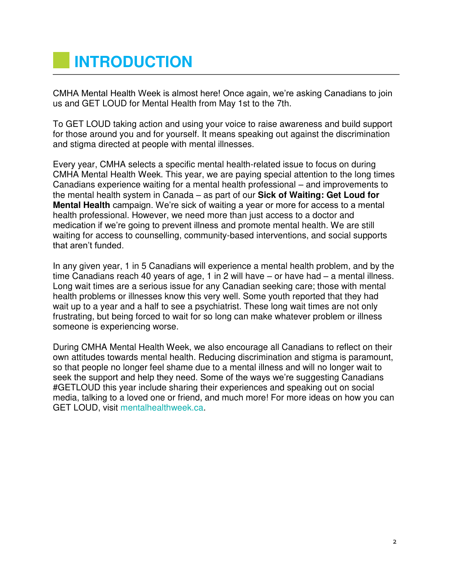# **INTRODUCTION**

CMHA Mental Health Week is almost here! Once again, we're asking Canadians to join us and GET LOUD for Mental Health from May 1st to the 7th.

To GET LOUD taking action and using your voice to raise awareness and build support for those around you and for yourself. It means speaking out against the discrimination and stigma directed at people with mental illnesses.

Every year, CMHA selects a specific mental health-related issue to focus on during CMHA Mental Health Week. This year, we are paying special attention to the long times Canadians experience waiting for a mental health professional – and improvements to the mental health system in Canada – as part of our **Sick of Waiting: Get Loud for Mental Health** campaign. We're sick of waiting a year or more for access to a mental health professional. However, we need more than just access to a doctor and medication if we're going to prevent illness and promote mental health. We are still waiting for access to counselling, community-based interventions, and social supports that aren't funded.

In any given year, 1 in 5 Canadians will experience a mental health problem, and by the time Canadians reach 40 years of age, 1 in 2 will have – or have had – a mental illness. Long wait times are a serious issue for any Canadian seeking care; those with mental health problems or illnesses know this very well. Some youth reported that they had wait up to a year and a half to see a psychiatrist. These long wait times are not only frustrating, but being forced to wait for so long can make whatever problem or illness someone is experiencing worse.

During CMHA Mental Health Week, we also encourage all Canadians to reflect on their own attitudes towards mental health. Reducing discrimination and stigma is paramount, so that people no longer feel shame due to a mental illness and will no longer wait to seek the support and help they need. Some of the ways we're suggesting Canadians #GETLOUD this year include sharing their experiences and speaking out on social media, talking to a loved one or friend, and much more! For more ideas on how you can GET LOUD, visit [mentalhealthweek.ca.](http://mentalhealthweek.ca/)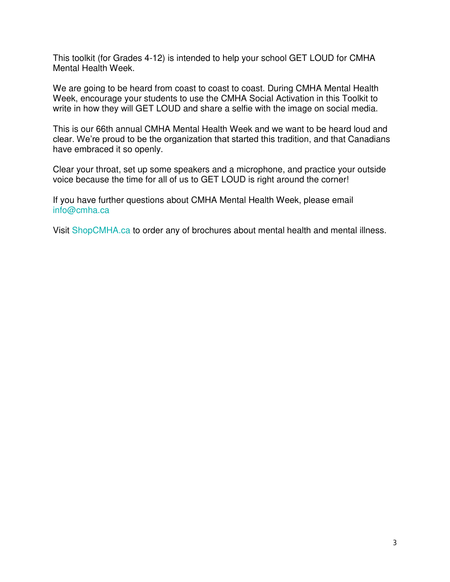This toolkit (for Grades 4-12) is intended to help your school GET LOUD for CMHA Mental Health Week.

We are going to be heard from coast to coast to coast. During CMHA Mental Health Week, encourage your students to use the CMHA Social Activation in this Toolkit to write in how they will GET LOUD and share a selfie with the image on social media.

This is our 66th annual CMHA Mental Health Week and we want to be heard loud and clear. We're proud to be the organization that started this tradition, and that Canadians have embraced it so openly.

Clear your throat, set up some speakers and a microphone, and practice your outside voice because the time for all of us to GET LOUD is right around the corner!

If you have further questions about CMHA Mental Health Week, please email [info@cmha.ca](mailto:info@cmha.ca)

Visit [ShopCMHA.ca](http://shop.cmha.ca/) to order any of brochures about mental health and mental illness.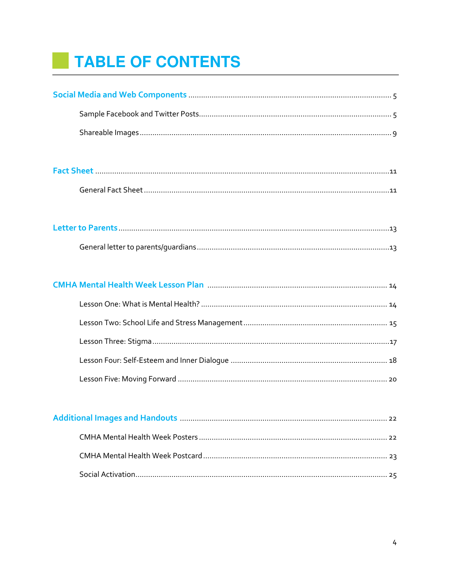# TABLE OF CONTENTS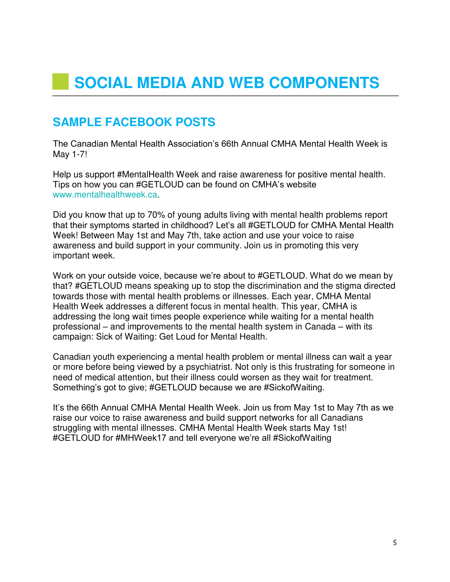# **SAMPLE FACEBOOK POSTS**

The Canadian Mental Health Association's 66th Annual CMHA Mental Health Week is May 1-7!

Help us support #MentalHealth Week and raise awareness for positive mental health. Tips on how you can #GETLOUD can be found on CMHA's website [www.mentalhealthweek.ca.](http://www.mentalhealthweek.ca/)

Did you know that up to 70% of young adults living with mental health problems report that their symptoms started in childhood? Let's all #GETLOUD for CMHA Mental Health Week! Between May 1st and May 7th, take action and use your voice to raise awareness and build support in your community. Join us in promoting this very important week.

Work on your outside voice, because we're about to #GETLOUD. What do we mean by that? #GETLOUD means speaking up to stop the discrimination and the stigma directed towards those with mental health problems or illnesses. Each year, CMHA Mental Health Week addresses a different focus in mental health. This year, CMHA is addressing the long wait times people experience while waiting for a mental health professional – and improvements to the mental health system in Canada – with its campaign: Sick of Waiting: Get Loud for Mental Health.

Canadian youth experiencing a mental health problem or mental illness can wait a year or more before being viewed by a psychiatrist. Not only is this frustrating for someone in need of medical attention, but their illness could worsen as they wait for treatment. Something's got to give; #GETLOUD because we are #SickofWaiting.

It's the 66th Annual CMHA Mental Health Week. Join us from May 1st to May 7th as we raise our voice to raise awareness and build support networks for all Canadians struggling with mental illnesses. CMHA Mental Health Week starts May 1st! #GETLOUD for #MHWeek17 and tell everyone we're all #SickofWaiting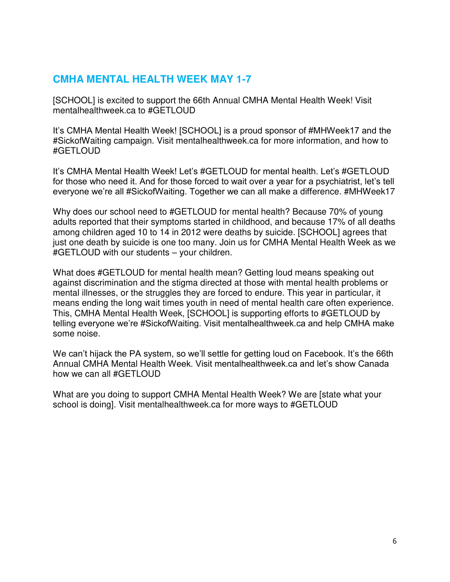#### **CMHA MENTAL HEALTH WEEK MAY 1-7**

[SCHOOL] is excited to support the 66th Annual CMHA Mental Health Week! Visit mentalhealthweek.ca to #GETLOUD

It's CMHA Mental Health Week! [SCHOOL] is a proud sponsor of #MHWeek17 and the #SickofWaiting campaign. Visit mentalhealthweek.ca for more information, and how to #GETLOUD

It's CMHA Mental Health Week! Let's #GETLOUD for mental health. Let's #GETLOUD for those who need it. And for those forced to wait over a year for a psychiatrist, let's tell everyone we're all #SickofWaiting. Together we can all make a difference. #MHWeek17

Why does our school need to #GETLOUD for mental health? Because 70% of young adults reported that their symptoms started in childhood, and because 17% of all deaths among children aged 10 to 14 in 2012 were deaths by suicide. [SCHOOL] agrees that just one death by suicide is one too many. Join us for CMHA Mental Health Week as we #GETLOUD with our students – your children.

What does #GETLOUD for mental health mean? Getting loud means speaking out against discrimination and the stigma directed at those with mental health problems or mental illnesses, or the struggles they are forced to endure. This year in particular, it means ending the long wait times youth in need of mental health care often experience. This, CMHA Mental Health Week, [SCHOOL] is supporting efforts to #GETLOUD by telling everyone we're #SickofWaiting. Visit mentalhealthweek.ca and help CMHA make some noise.

We can't hijack the PA system, so we'll settle for getting loud on Facebook. It's the 66th Annual CMHA Mental Health Week. Visit mentalhealthweek.ca and let's show Canada how we can all #GETLOUD

What are you doing to support CMHA Mental Health Week? We are [state what your school is doing]. Visit mentalhealthweek.ca for more ways to #GETLOUD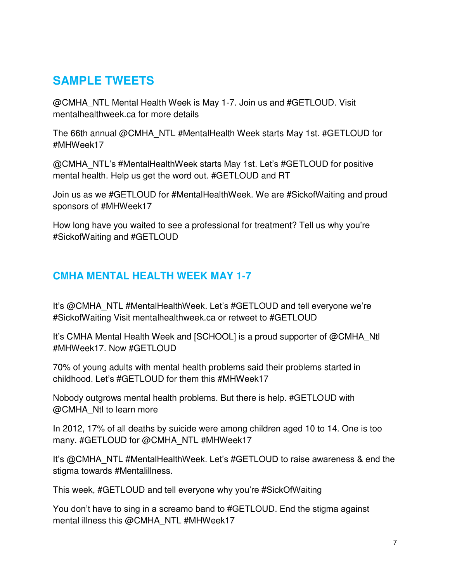# **SAMPLE TWEETS**

@CMHA\_NTL Mental Health Week is May 1-7. Join us and #GETLOUD. Visit mentalhealthweek.ca for more details

The 66th annual @CMHA\_NTL #MentalHealth Week starts May 1st. #GETLOUD for #MHWeek17

@CMHA\_NTL's #MentalHealthWeek starts May 1st. Let's #GETLOUD for positive mental health. Help us get the word out. #GETLOUD and RT

Join us as we #GETLOUD for #MentalHealthWeek. We are #SickofWaiting and proud sponsors of #MHWeek17

How long have you waited to see a professional for treatment? Tell us why you're #SickofWaiting and #GETLOUD

## **CMHA MENTAL HEALTH WEEK MAY 1-7**

It's @CMHA\_NTL #MentalHealthWeek. Let's #GETLOUD and tell everyone we're #SickofWaiting Visit mentalhealthweek.ca or retweet to #GETLOUD

It's CMHA Mental Health Week and [SCHOOL] is a proud supporter of @CMHA\_Ntl #MHWeek17. Now #GETLOUD

70% of young adults with mental health problems said their problems started in childhood. Let's #GETLOUD for them this #MHWeek17

Nobody outgrows mental health problems. But there is help. #GETLOUD with @CMHA\_Ntl to learn more

In 2012, 17% of all deaths by suicide were among children aged 10 to 14. One is too many. #GETLOUD for @CMHA\_NTL #MHWeek17

It's @CMHA\_NTL #MentalHealthWeek. Let's #GETLOUD to raise awareness & end the stigma towards #Mentalillness.

This week, #GETLOUD and tell everyone why you're #SickOfWaiting

You don't have to sing in a screamo band to #GETLOUD. End the stigma against mental illness this @CMHA\_NTL #MHWeek17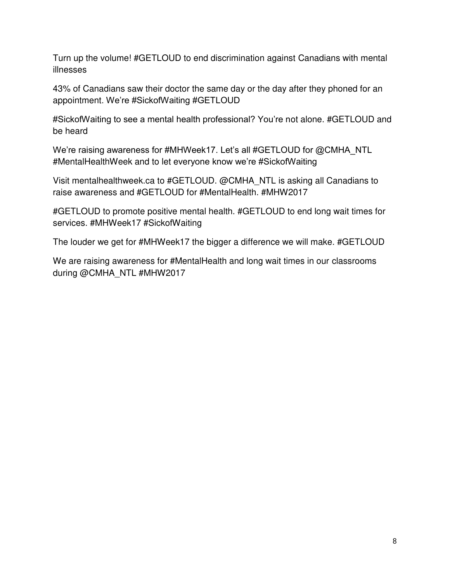Turn up the volume! #GETLOUD to end discrimination against Canadians with mental illnesses

43% of Canadians saw their doctor the same day or the day after they phoned for an appointment. We're #SickofWaiting #GETLOUD

#SickofWaiting to see a mental health professional? You're not alone. #GETLOUD and be heard

We're raising awareness for #MHWeek17. Let's all #GETLOUD for @CMHA\_NTL #MentalHealthWeek and to let everyone know we're #SickofWaiting

Visit mentalhealthweek.ca to #GETLOUD. @CMHA\_NTL is asking all Canadians to raise awareness and #GETLOUD for #MentalHealth. #MHW2017

#GETLOUD to promote positive mental health. #GETLOUD to end long wait times for services. #MHWeek17 #SickofWaiting

The louder we get for #MHWeek17 the bigger a difference we will make. #GETLOUD

We are raising awareness for #MentalHealth and long wait times in our classrooms during @CMHA\_NTL #MHW2017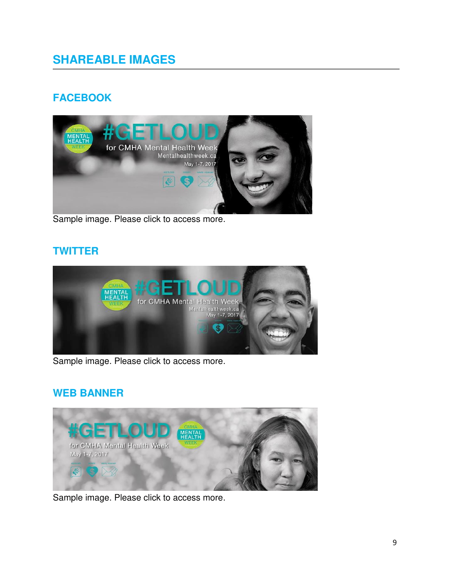# **SHAREABLE IMAGES**

# **FACEBOOK**



Sample image. Please click to access more.

#### **TWITTER**



Sample image. Please click to access more.

### **WEB BANNER**



Sample image. Please click to access more.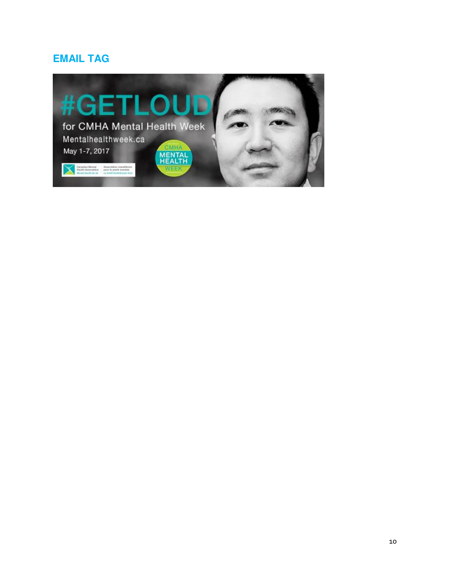### **EMAIL TAG**

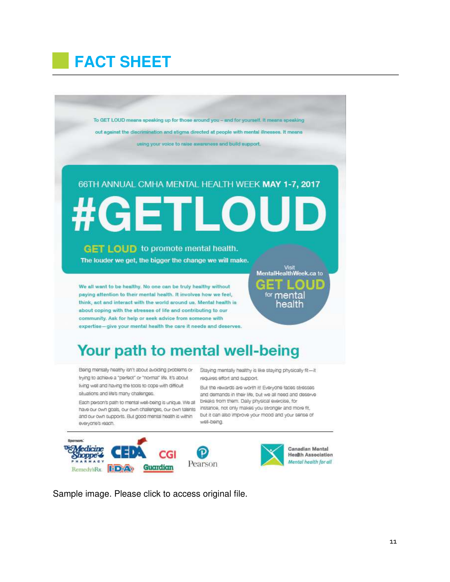# **FACT SHEET**

To GET LOUD means speaking up for those around you - and for yourself. It means speaking out against the discrimination and stigma directed at people with mental illnesses. It means using your voice to raise awareness and build support.

# 66TH ANNUAL CMHA MENTAL HEALTH WEEK MAY 1-7, 2017

TI O

# **GET LOUD** to promote mental health.

허리

The louder we get, the bigger the change we will make.

We all want to be healthy. No one can be truly healthy without paying attention to their mental health. It involves how we feel, think, act and interact with the world around us. Mental health is about coping with the stresses of life and contributing to our community. Ask for help or seek advice from someone with expertise-give your mental health the care it needs and deserves.

# Your path to mental well-being

Being mentally healthy isn't about avoiding problems or Staying mentally healthy is like staying physically fit-it trying to achieve a "perfect" or "normal" life. It's about living well and having the tools to cope with difficult situations and life's many challenges.

have our own goals, our own challenges, our own talents instance, not only makes you stronger and more fit, and our own supports. But good mental health is within everyone's reach.

requires effort and support.

But the rewards are worth it! Everyone faces stresses and demands in their life, but we all need and deserve Each person's path to mental well-being is unique. We all breaks from them. Daily physical exercise, for but it can also improve your mood and your sense of well-being.





Sample image. Please click to access original file.

<sup>for</sup> mental health

Visit<br>MentalHealthWeek.ca to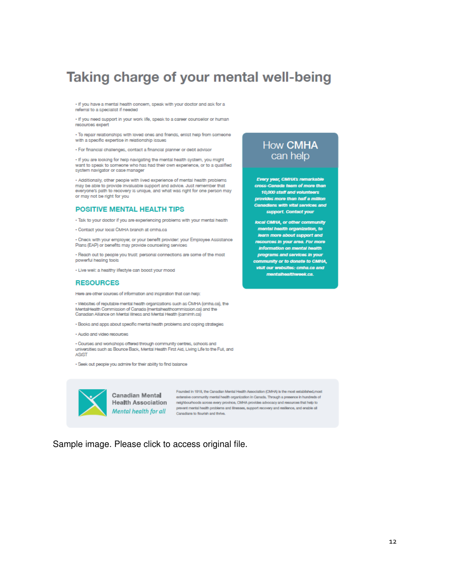# Taking charge of your mental well-being

. If you have a mental health concern, speak with your doctor and ask for a referral to a specialist if needed

. If you need support in your work life, speak to a career counsellor or human resources expert

. To repair relationships with loved ones and friends, enlist help from someone with a specific expertise in relationship issues

· For financial challenges, contact a financial planner or debt advisor

. If you are looking for help navigating the mental health system, you might want to speak to someone who has had their own experience, or to a qualified system navigator or case manager

· Additionally, other people with lived experience of mental health problems may be able to provide invaluable support and advice. Just remember that<br>everyone's path to recovery is unique, and what was right for one person may or may not be right for you

#### **POSITIVE MENTAL HEALTH TIPS**

. Talk to your doctor if you are experiencing problems with your mental health

- Contact your local CMHA branch at cmha.ca

· Check with your employer, or your benefit provider: your Employee Assistance Plans (EAP) or benefits may provide counselling services

. Reach out to people you trust: personal connections are some of the most powerful healing tools

. Live well: a healthy lifestyle can boost your mood

#### **RESOURCES**

Here are other sources of information and inspiration that can help:

. Websites of reputable mental health organizations such as CMHA (cmha.ca), the MentalHealth Commission of Canada (mentalhealthcommission.ca) and the Canadian Aliance on Mental Illness and Mental Health (camimh.ca)

- · Books and apps about specific mental health problems and coping strategies
- · Audio and video resources

· Courses and workshops offered through community centres, schools and universities such as Bounce Back, Mental Health First Aid, Living Life to the Full, and ASIST

· Seek out people you admire for their ability to find balance



Founded in 1918, the Canadian Mental Health Association (CMHA) is the most established, me<br>
extensive community mental bealth and property and the CMHA) is the most established, me extensive community mental health organization in Canada. Through a presence in hundreds of Health Association methodology networked by provides across a control of the control of the control of the control of the control of the control of the control of the control of the control of the control of the control of Mental health for all prevent mental health problems and linesses, support recovery and resilience, and enable all<br>Canadians to flourish and thrive.

Sample image. Please click to access original file.

#### **How CMHA** can help

Every year, CMHA's remarkable<br>cross-Canada team of more than 10,000 staff and volunteers provides more than half a million Canadians with vital services and support. Contact your

local CMHA, or other community mental health organization, to learn more about support and resources in your area. For more information on mental health programs and services in your community or to donate to CMHA, visit our websites: cmha.ca and mentalhealthweek.ca.

 $12$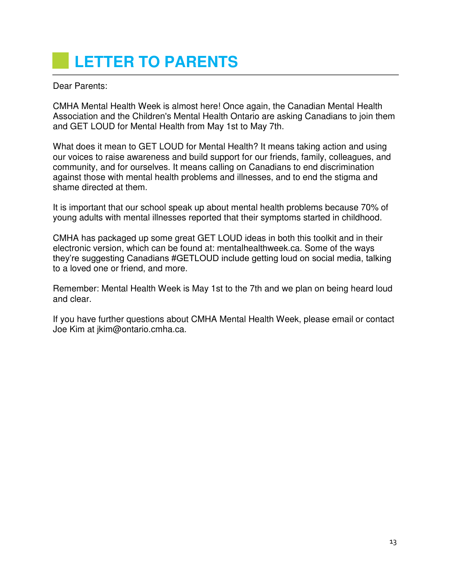# **LETTER TO PARENTS**

Dear Parents:

CMHA Mental Health Week is almost here! Once again, the Canadian Mental Health Association and the Children's Mental Health Ontario are asking Canadians to join them and GET LOUD for Mental Health from May 1st to May 7th.

What does it mean to GET LOUD for Mental Health? It means taking action and using our voices to raise awareness and build support for our friends, family, colleagues, and community, and for ourselves. It means calling on Canadians to end discrimination against those with mental health problems and illnesses, and to end the stigma and shame directed at them.

It is important that our school speak up about mental health problems because 70% of young adults with mental illnesses reported that their symptoms started in childhood.

CMHA has packaged up some great GET LOUD ideas in both this toolkit and in their electronic version, which can be found at: mentalhealthweek.ca. Some of the ways they're suggesting Canadians #GETLOUD include getting loud on social media, talking to a loved one or friend, and more.

Remember: Mental Health Week is May 1st to the 7th and we plan on being heard loud and clear.

If you have further questions about CMHA Mental Health Week, please email or contact Joe Kim at jkim@ontario.cmha.ca.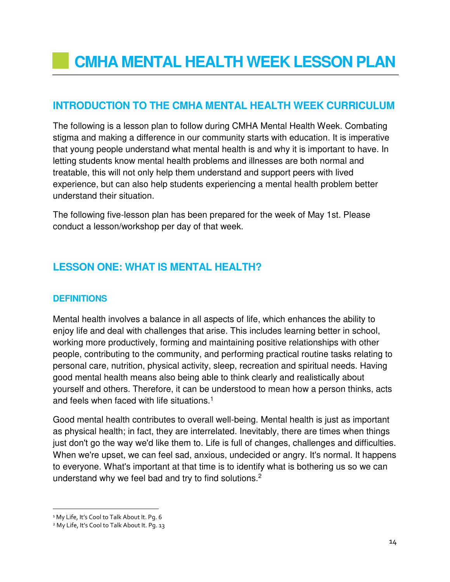### **INTRODUCTION TO THE CMHA MENTAL HEALTH WEEK CURRICULUM**

The following is a lesson plan to follow during CMHA Mental Health Week. Combating stigma and making a difference in our community starts with education. It is imperative that young people understand what mental health is and why it is important to have. In letting students know mental health problems and illnesses are both normal and treatable, this will not only help them understand and support peers with lived experience, but can also help students experiencing a mental health problem better understand their situation.

The following five-lesson plan has been prepared for the week of May 1st. Please conduct a lesson/workshop per day of that week.

### **LESSON ONE: WHAT IS MENTAL HEALTH?**

#### **DEFINITIONS**

Mental health involves a balance in all aspects of life, which enhances the ability to enjoy life and deal with challenges that arise. This includes learning better in school, working more productively, forming and maintaining positive relationships with other people, contributing to the community, and performing practical routine tasks relating to personal care, nutrition, physical activity, sleep, recreation and spiritual needs. Having good mental health means also being able to think clearly and realistically about yourself and others. Therefore, it can be understood to mean how a person thinks, acts and feels when faced with life situations.<sup>1</sup>

Good mental health contributes to overall well-being. Mental health is just as important as physical health; in fact, they are interrelated. Inevitably, there are times when things just don't go the way we'd like them to. Life is full of changes, challenges and difficulties. When we're upset, we can feel sad, anxious, undecided or angry. It's normal. It happens to everyone. What's important at that time is to identify what is bothering us so we can understand why we feel bad and try to find solutions.<sup>2</sup>

 $\overline{a}$ 

<sup>&</sup>lt;sup>1</sup> My Life, It's Cool to Talk About It. Pg. 6

<sup>&</sup>lt;sup>2</sup> My Life, It's Cool to Talk About It. Pg. 13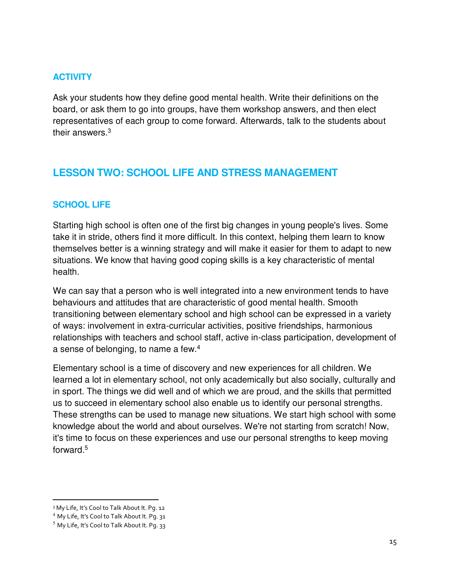#### **ACTIVITY**

Ask your students how they define good mental health. Write their definitions on the board, or ask them to go into groups, have them workshop answers, and then elect representatives of each group to come forward. Afterwards, talk to the students about their answers.<sup>3</sup>

#### **LESSON TWO: SCHOOL LIFE AND STRESS MANAGEMENT**

#### **SCHOOL LIFE**

Starting high school is often one of the first big changes in young people's lives. Some take it in stride, others find it more difficult. In this context, helping them learn to know themselves better is a winning strategy and will make it easier for them to adapt to new situations. We know that having good coping skills is a key characteristic of mental health.

We can say that a person who is well integrated into a new environment tends to have behaviours and attitudes that are characteristic of good mental health. Smooth transitioning between elementary school and high school can be expressed in a variety of ways: involvement in extra-curricular activities, positive friendships, harmonious relationships with teachers and school staff, active in-class participation, development of a sense of belonging, to name a few.<sup>4</sup>

Elementary school is a time of discovery and new experiences for all children. We learned a lot in elementary school, not only academically but also socially, culturally and in sport. The things we did well and of which we are proud, and the skills that permitted us to succeed in elementary school also enable us to identify our personal strengths. These strengths can be used to manage new situations. We start high school with some knowledge about the world and about ourselves. We're not starting from scratch! Now, it's time to focus on these experiences and use our personal strengths to keep moving forward.<sup>5</sup>

 $\overline{a}$ 

<sup>3</sup> My Life, It's Cool to Talk About It. Pg. 12

<sup>4</sup> My Life, It's Cool to Talk About It. Pg. 31

 $<sup>5</sup>$  My Life, It's Cool to Talk About It. Pg. 33</sup>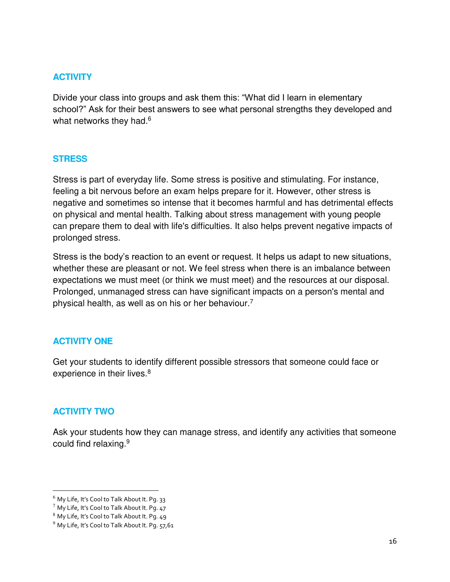#### **ACTIVITY**

Divide your class into groups and ask them this: "What did I learn in elementary school?" Ask for their best answers to see what personal strengths they developed and what networks they had.<sup>6</sup>

#### **STRESS**

Stress is part of everyday life. Some stress is positive and stimulating. For instance, feeling a bit nervous before an exam helps prepare for it. However, other stress is negative and sometimes so intense that it becomes harmful and has detrimental effects on physical and mental health. Talking about stress management with young people can prepare them to deal with life's difficulties. It also helps prevent negative impacts of prolonged stress.

Stress is the body's reaction to an event or request. It helps us adapt to new situations, whether these are pleasant or not. We feel stress when there is an imbalance between expectations we must meet (or think we must meet) and the resources at our disposal. Prolonged, unmanaged stress can have significant impacts on a person's mental and physical health, as well as on his or her behaviour.<sup>7</sup>

#### **ACTIVITY ONE**

Get your students to identify different possible stressors that someone could face or experience in their lives.<sup>8</sup>

#### **ACTIVITY TWO**

l

Ask your students how they can manage stress, and identify any activities that someone could find relaxing.<sup>9</sup>

<sup>&</sup>lt;sup>6</sup> My Life, It's Cool to Talk About It. Pq. 33

 $7$  My Life, It's Cool to Talk About It. Pq. 47

<sup>8</sup> My Life, It's Cool to Talk About It. Pg. 49

 $9$  My Life, It's Cool to Talk About It. Pg. 57,61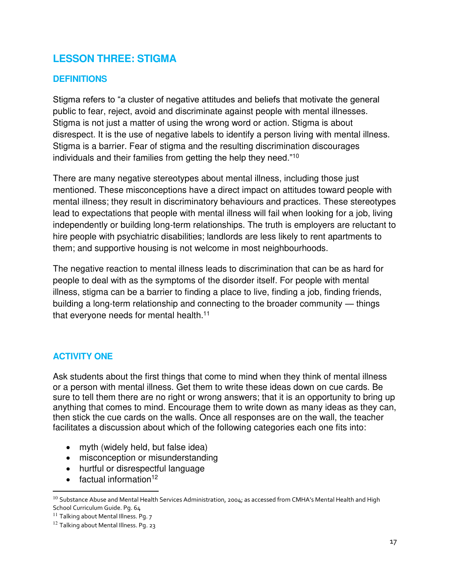### **LESSON THREE: STIGMA**

#### **DEFINITIONS**

Stigma refers to "a cluster of negative attitudes and beliefs that motivate the general public to fear, reject, avoid and discriminate against people with mental illnesses. Stigma is not just a matter of using the wrong word or action. Stigma is about disrespect. It is the use of negative labels to identify a person living with mental illness. Stigma is a barrier. Fear of stigma and the resulting discrimination discourages individuals and their families from getting the help they need."<sup>10</sup>

There are many negative stereotypes about mental illness, including those just mentioned. These misconceptions have a direct impact on attitudes toward people with mental illness; they result in discriminatory behaviours and practices. These stereotypes lead to expectations that people with mental illness will fail when looking for a job, living independently or building long-term relationships. The truth is employers are reluctant to hire people with psychiatric disabilities; landlords are less likely to rent apartments to them; and supportive housing is not welcome in most neighbourhoods.

The negative reaction to mental illness leads to discrimination that can be as hard for people to deal with as the symptoms of the disorder itself. For people with mental illness, stigma can be a barrier to finding a place to live, finding a job, finding friends, building a long-term relationship and connecting to the broader community — things that everyone needs for mental health.<sup>11</sup>

#### **ACTIVITY ONE**

Ask students about the first things that come to mind when they think of mental illness or a person with mental illness. Get them to write these ideas down on cue cards. Be sure to tell them there are no right or wrong answers; that it is an opportunity to bring up anything that comes to mind. Encourage them to write down as many ideas as they can, then stick the cue cards on the walls. Once all responses are on the wall, the teacher facilitates a discussion about which of the following categories each one fits into:

- myth (widely held, but false idea)
- misconception or misunderstanding
- hurtful or disrespectful language
- $\bullet$  factual information<sup>12</sup>

l

 $^{10}$  Substance Abuse and Mental Health Services Administration, 2004; as accessed from CMHA's Mental Health and High School Curriculum Guide. Pg. 64

<sup>&</sup>lt;sup>11</sup> Talking about Mental Illness. Pg. 7

<sup>&</sup>lt;sup>12</sup> Talking about Mental Illness. Pg. 23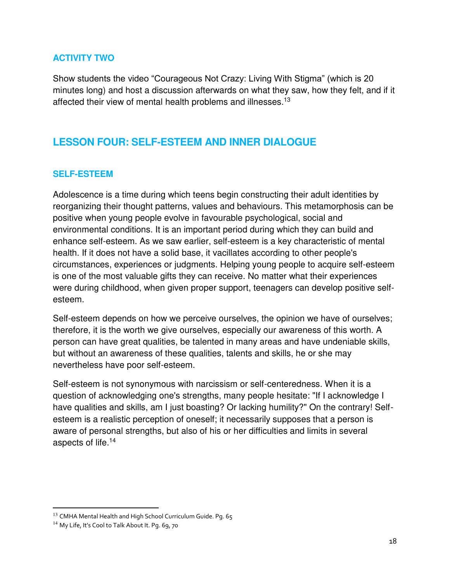#### **ACTIVITY TWO**

Show students the video "Courageous Not Crazy: Living With Stigma" (which is 20 minutes long) and host a discussion afterwards on what they saw, how they felt, and if it affected their view of mental health problems and illnesses.<sup>13</sup>

### **LESSON FOUR: SELF-ESTEEM AND INNER DIALOGUE**

#### **SELF-ESTEEM**

Adolescence is a time during which teens begin constructing their adult identities by reorganizing their thought patterns, values and behaviours. This metamorphosis can be positive when young people evolve in favourable psychological, social and environmental conditions. It is an important period during which they can build and enhance self-esteem. As we saw earlier, self-esteem is a key characteristic of mental health. If it does not have a solid base, it vacillates according to other people's circumstances, experiences or judgments. Helping young people to acquire self-esteem is one of the most valuable gifts they can receive. No matter what their experiences were during childhood, when given proper support, teenagers can develop positive selfesteem.

Self-esteem depends on how we perceive ourselves, the opinion we have of ourselves; therefore, it is the worth we give ourselves, especially our awareness of this worth. A person can have great qualities, be talented in many areas and have undeniable skills, but without an awareness of these qualities, talents and skills, he or she may nevertheless have poor self-esteem.

Self-esteem is not synonymous with narcissism or self-centeredness. When it is a question of acknowledging one's strengths, many people hesitate: "If I acknowledge I have qualities and skills, am I just boasting? Or lacking humility?" On the contrary! Selfesteem is a realistic perception of oneself; it necessarily supposes that a person is aware of personal strengths, but also of his or her difficulties and limits in several aspects of life.<sup>14</sup>

 $\overline{a}$ 

<sup>13</sup> CMHA Mental Health and High School Curriculum Guide. Pg. 65

<sup>&</sup>lt;sup>14</sup> My Life, It's Cool to Talk About It. Pg. 69, 70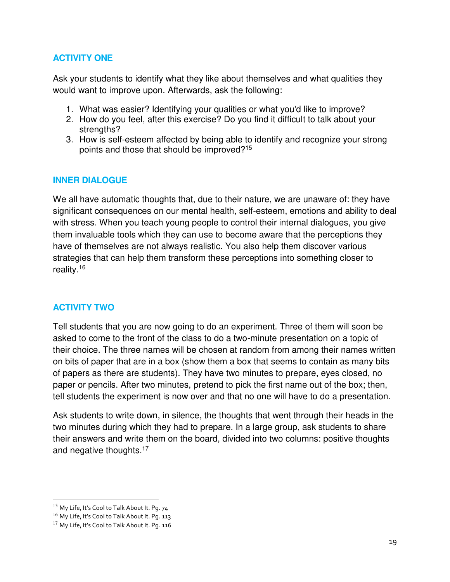#### **ACTIVITY ONE**

Ask your students to identify what they like about themselves and what qualities they would want to improve upon. Afterwards, ask the following:

- 1. What was easier? Identifying your qualities or what you'd like to improve?
- 2. How do you feel, after this exercise? Do you find it difficult to talk about your strengths?
- 3. How is self-esteem affected by being able to identify and recognize your strong points and those that should be improved?<sup>15</sup>

#### **INNER DIALOGUE**

We all have automatic thoughts that, due to their nature, we are unaware of: they have significant consequences on our mental health, self-esteem, emotions and ability to deal with stress. When you teach young people to control their internal dialogues, you give them invaluable tools which they can use to become aware that the perceptions they have of themselves are not always realistic. You also help them discover various strategies that can help them transform these perceptions into something closer to reality.<sup>16</sup>

#### **ACTIVITY TWO**

Tell students that you are now going to do an experiment. Three of them will soon be asked to come to the front of the class to do a two-minute presentation on a topic of their choice. The three names will be chosen at random from among their names written on bits of paper that are in a box (show them a box that seems to contain as many bits of papers as there are students). They have two minutes to prepare, eyes closed, no paper or pencils. After two minutes, pretend to pick the first name out of the box; then, tell students the experiment is now over and that no one will have to do a presentation.

Ask students to write down, in silence, the thoughts that went through their heads in the two minutes during which they had to prepare. In a large group, ask students to share their answers and write them on the board, divided into two columns: positive thoughts and negative thoughts.<sup>17</sup> 

l

<sup>&</sup>lt;sup>15</sup> My Life, It's Cool to Talk About It. Pg. 74

<sup>&</sup>lt;sup>16</sup> My Life, It's Cool to Talk About It. Pg. 113

<sup>&</sup>lt;sup>17</sup> My Life, It's Cool to Talk About It. Pq. 116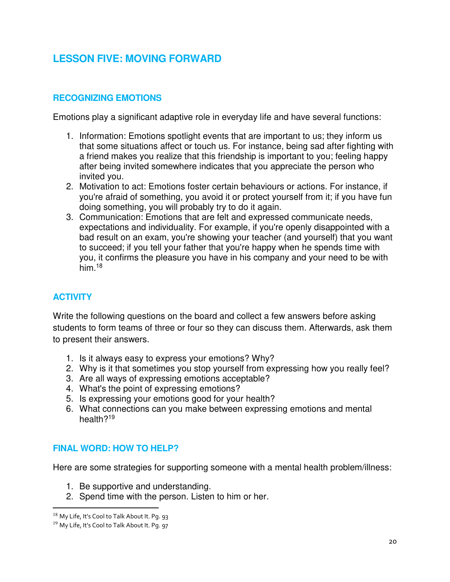## **LESSON FIVE: MOVING FORWARD**

#### **RECOGNIZING EMOTIONS**

Emotions play a significant adaptive role in everyday life and have several functions:

- 1. Information: Emotions spotlight events that are important to us; they inform us that some situations affect or touch us. For instance, being sad after fighting with a friend makes you realize that this friendship is important to you; feeling happy after being invited somewhere indicates that you appreciate the person who invited you.
- 2. Motivation to act: Emotions foster certain behaviours or actions. For instance, if you're afraid of something, you avoid it or protect yourself from it; if you have fun doing something, you will probably try to do it again.
- 3. Communication: Emotions that are felt and expressed communicate needs, expectations and individuality. For example, if you're openly disappointed with a bad result on an exam, you're showing your teacher (and yourself) that you want to succeed; if you tell your father that you're happy when he spends time with you, it confirms the pleasure you have in his company and your need to be with him.<sup>18</sup>

#### **ACTIVITY**

Write the following questions on the board and collect a few answers before asking students to form teams of three or four so they can discuss them. Afterwards, ask them to present their answers.

- 1. Is it always easy to express your emotions? Why?
- 2. Why is it that sometimes you stop yourself from expressing how you really feel?
- 3. Are all ways of expressing emotions acceptable?
- 4. What's the point of expressing emotions?
- 5. Is expressing your emotions good for your health?
- 6. What connections can you make between expressing emotions and mental health?<sup>19</sup>

#### **FINAL WORD: HOW TO HELP?**

Here are some strategies for supporting someone with a mental health problem/illness:

- 1. Be supportive and understanding.
- 2. Spend time with the person. Listen to him or her.

 $\overline{a}$ 

<sup>18</sup> My Life, It's Cool to Talk About It. Pq. 93

<sup>&</sup>lt;sup>19</sup> My Life, It's Cool to Talk About It. Pg. 97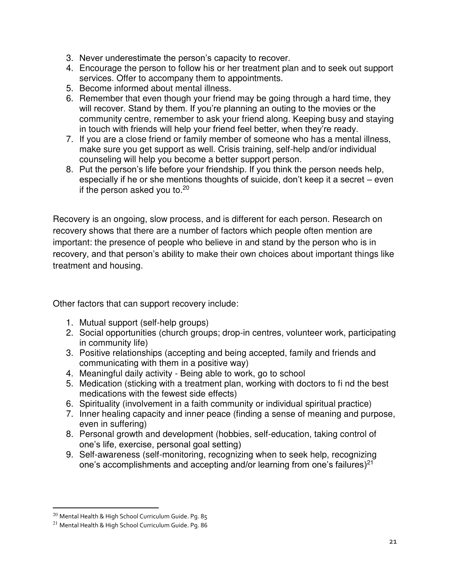- 3. Never underestimate the person's capacity to recover.
- 4. Encourage the person to follow his or her treatment plan and to seek out support services. Offer to accompany them to appointments.
- 5. Become informed about mental illness.
- 6. Remember that even though your friend may be going through a hard time, they will recover. Stand by them. If you're planning an outing to the movies or the community centre, remember to ask your friend along. Keeping busy and staying in touch with friends will help your friend feel better, when they're ready.
- 7. If you are a close friend or family member of someone who has a mental illness, make sure you get support as well. Crisis training, self-help and/or individual counseling will help you become a better support person.
- 8. Put the person's life before your friendship. If you think the person needs help, especially if he or she mentions thoughts of suicide, don't keep it a secret – even if the person asked you to. $20$

Recovery is an ongoing, slow process, and is different for each person. Research on recovery shows that there are a number of factors which people often mention are important: the presence of people who believe in and stand by the person who is in recovery, and that person's ability to make their own choices about important things like treatment and housing.

Other factors that can support recovery include:

- 1. Mutual support (self-help groups)
- 2. Social opportunities (church groups; drop-in centres, volunteer work, participating in community life)
- 3. Positive relationships (accepting and being accepted, family and friends and communicating with them in a positive way)
- 4. Meaningful daily activity Being able to work, go to school
- 5. Medication (sticking with a treatment plan, working with doctors to fi nd the best medications with the fewest side effects)
- 6. Spirituality (involvement in a faith community or individual spiritual practice)
- 7. Inner healing capacity and inner peace (finding a sense of meaning and purpose, even in suffering)
- 8. Personal growth and development (hobbies, self-education, taking control of one's life, exercise, personal goal setting)
- 9. Self-awareness (self-monitoring, recognizing when to seek help, recognizing one's accomplishments and accepting and/or learning from one's failures)<sup>21</sup>

 $\overline{a}$ 

<sup>20</sup> Mental Health & High School Curriculum Guide. Pg. 85

<sup>21</sup> Mental Health & High School Curriculum Guide. Pg. 86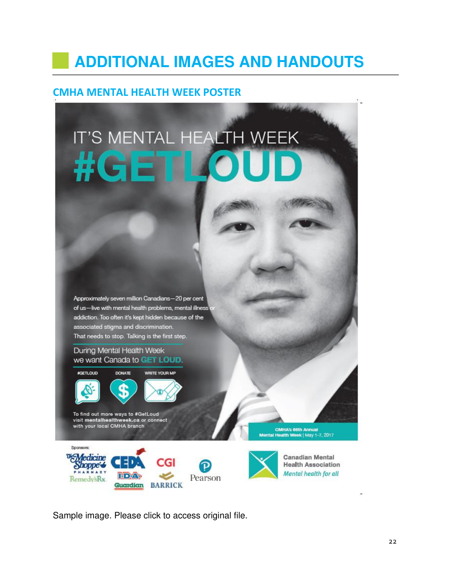# **ADDITIONAL IMAGES AND HANDOUTS**

#### **CMHA MENTAL HEALTH WEEK POSTER**

# IT'S MENTAL HEALTH WEEK #G

Approximately seven million Canadians-20 per cent of us-live with mental health problems, mental illness addiction. Too often it's kept hidden because of the associated stigma and discrimination. That needs to stop. Talking is the first step.

#### During Mental Health Week we want Canada to GET LOUD.



**HDA?** 

visit mentalhealthweek.ca or connect<br>with your local CMHA branch

Sponsors:

**Medicine** 

Shoppe 6

Remedy's Rx.

CMHA's 66th Annual Mental Health Week | May 1-7, 2017



**Canadian Mental Health Association** Mental health for all

Sample image. Please click to access original file.

Guardian BARRICK

**CGI** 

متصحفه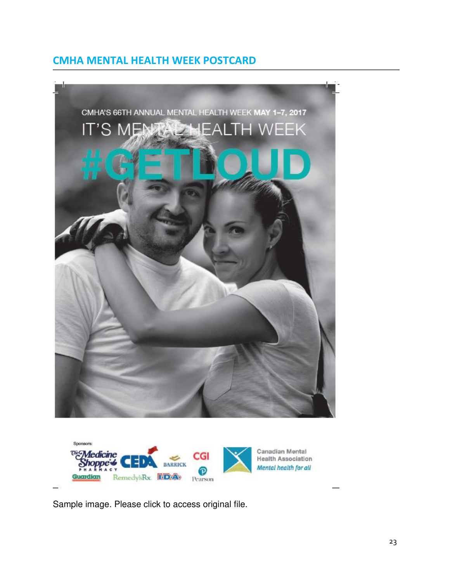### **CMHA MENTAL HEALTH WEEK POSTCARD**





Sample image. Please click to access original file.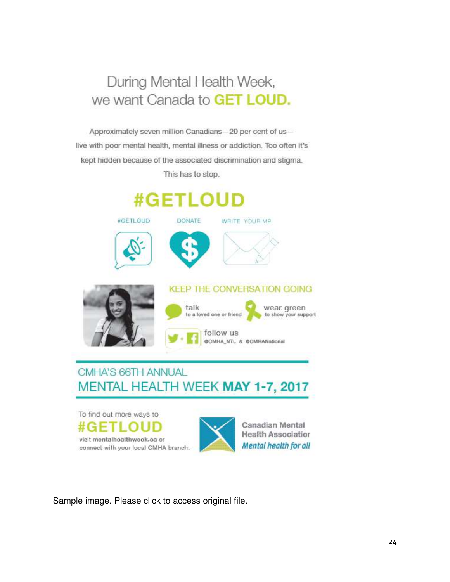# During Mental Health Week, we want Canada to GET LOUD.

Approximately seven million Canadians-20 per cent of uslive with poor mental health, mental illness or addiction. Too often it's kept hidden because of the associated discrimination and stigma.

This has to stop.



**DONATE** 

#GETLOUD







#### **KEEP THE CONVERSATION GOING**



# CMHA'S 66TH ANNUAL MENTAL HEALTH WEEK MAY 1-7, 2017





**Health Association** Mental health for all

Sample image. Please click to access original file.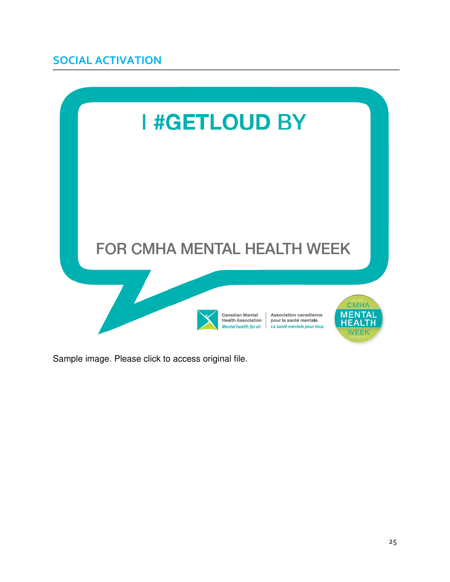# **SOCIAL ACTIVATION**



[Sample image. Please click to access original file.](https://cmhan.sharepoint.com/sites/CMHA MarComm Collaborative/_layouts/15/guestaccess.aspx?docid=00d3017e70ca44c74a47d740996bddd15&authkey=Ab-7xDcbXp7g_QunlBy-x1w)